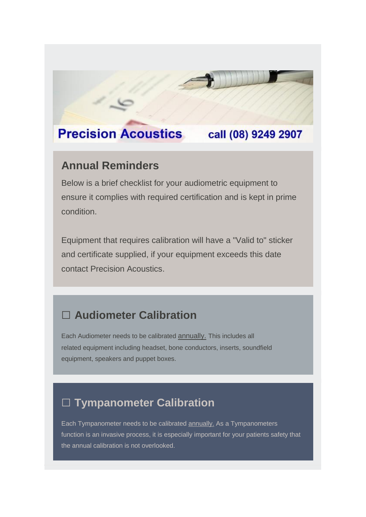#### **Precision Acoustics** call (08) 9249 2907

#### **Annual Reminders**

Below is a brief checklist for your audiometric equipment to ensure it complies with required certification and is kept in prime condition.

Equipment that requires calibration will have a "Valid to" sticker and certificate supplied, if your equipment exceeds this date contact Precision Acoustics.

## **□ Audiometer Calibration**

Each Audiometer needs to be calibrated annually. This includes all related equipment including headset, bone conductors, inserts, soundfield equipment, speakers and puppet boxes.

# **□ Tympanometer Calibration**

Each Tympanometer needs to be calibrated **annually**. As a Tympanometers function is an invasive process, it is especially important for your patients safety that the annual calibration is not overlooked.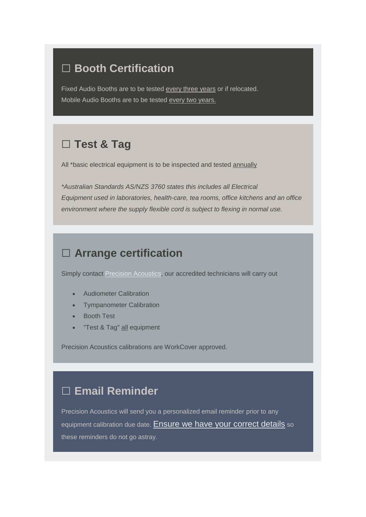#### **□ Booth Certification**

Fixed Audio Booths are to be tested every three years or if relocated. Mobile Audio Booths are to be tested every two years.

## **□ Test & Tag**

All \*basic electrical equipment is to be inspected and tested annually

*\*Australian Standards AS/NZS 3760 states this includes all Electrical Equipment used in laboratories, health-care, tea rooms, office kitchens and an office environment where the supply flexible cord is subject to flexing in normal use.*

### **□ Arrange certification**

Simply contact [Precision Acoustics,](https://precision-acoustics.us13.list-manage.com/track/click?u=4d275b91e5154c38466c59e9a&id=edfb0153b1&e=1c5a12761c) our accredited technicians will carry out

- Audiometer Calibration
- Tympanometer Calibration
- Booth Test
- "Test & Tag" all equipment

Precision Acoustics calibrations are WorkCover approved.

# **□ Email Reminder**

Precision Acoustics will send you a personalized email reminder prior to any equipment calibration due date. [Ensure we have your correct details](mailto:tim@precision-acoustics.com.au?subject=Update%20My%20Details&body=Please%20update%20my%20details%20as%20below%3A%0ACompany%3A%0AName%3A%0AEmail%3A) so these reminders do not go astray.